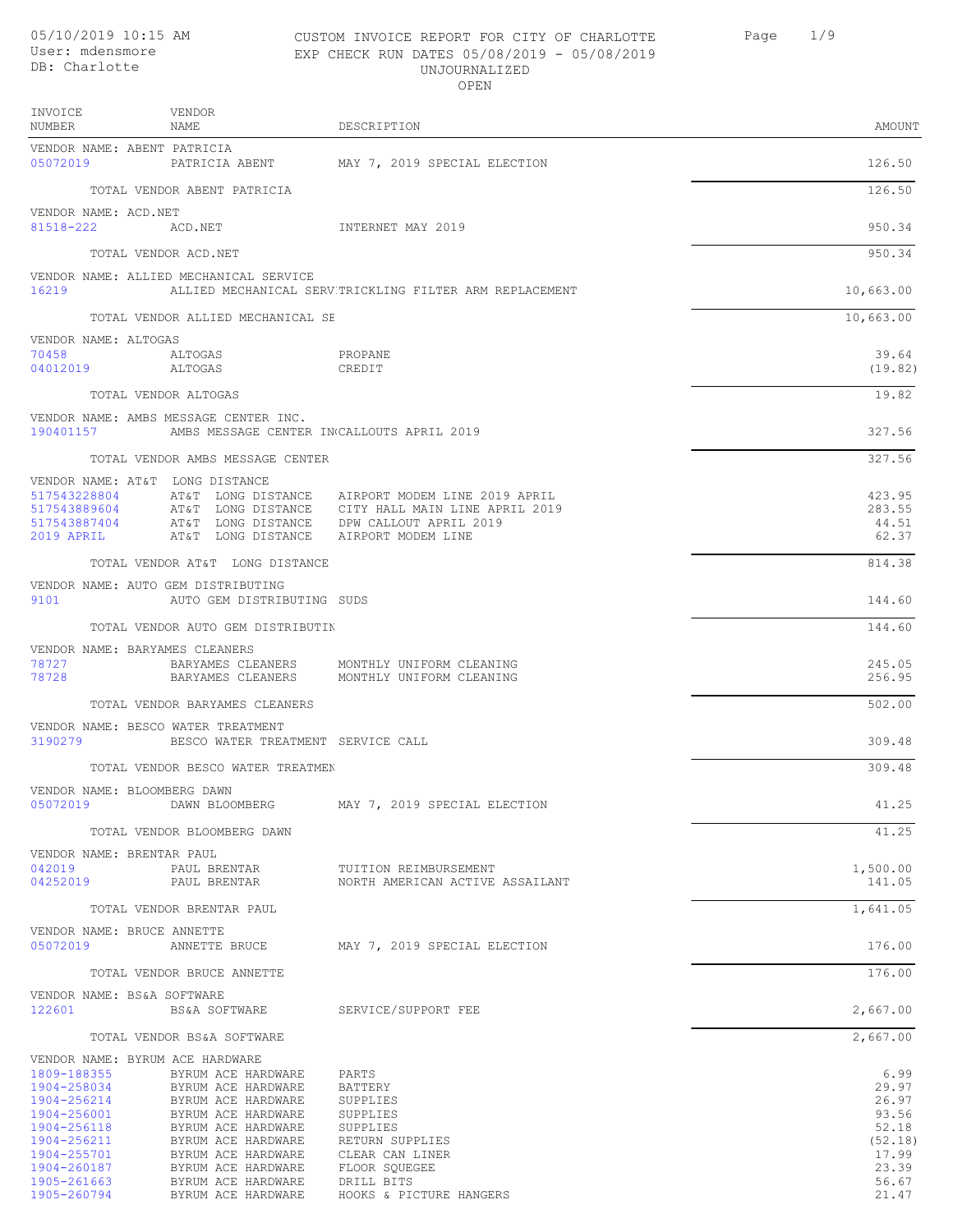## CUSTOM INVOICE REPORT FOR CITY OF CHARLOTTE Page 1/9 EXP CHECK RUN DATES 05/08/2019 - 05/08/2019 UNJOURNALIZED

|                                           |                                        | OPEN                                                    |                  |
|-------------------------------------------|----------------------------------------|---------------------------------------------------------|------------------|
| INVOICE<br>NUMBER                         | VENDOR<br>NAME                         | DESCRIPTION                                             | AMOUNT           |
| VENDOR NAME: ABENT PATRICIA<br>05072019   | PATRICIA ABENT                         | MAY 7, 2019 SPECIAL ELECTION                            | 126.50           |
|                                           | TOTAL VENDOR ABENT PATRICIA            |                                                         | 126.50           |
| VENDOR NAME: ACD.NET<br>81518-222         | ACD.NET                                | INTERNET MAY 2019                                       | 950.34           |
|                                           | TOTAL VENDOR ACD.NET                   |                                                         | 950.34           |
| 16219                                     | VENDOR NAME: ALLIED MECHANICAL SERVICE | ALLIED MECHANICAL SERV TRICKLING FILTER ARM REPLACEMENT | 10,663.00        |
|                                           | TOTAL VENDOR ALLIED MECHANICAL SE      |                                                         | 10,663.00        |
| VENDOR NAME: ALTOGAS<br>70458<br>04012019 | ALTOGAS<br>ALTOGAS                     | PROPANE<br>CREDIT                                       | 39.64<br>(19.82) |
|                                           | TOTAL VENDOR ALTOGAS                   |                                                         | 19.82            |

VENDOR NAME: AMBS MESSAGE CENTER INC.

| VENDOR NAME: ALTOGAS |                   |        |
|----------------------|-------------------|--------|
| 70458                |                   | ALTOGA |
| 04012019             |                   | ALTOGA |
|                      |                   |        |
|                      | TOTAL VENDOR ALTO |        |

TOTAL VENDOR AMBS MESSAGE CENTER **INC.** 327.56 VENDOR NAME: AT&T LONG DISTANCE 517543228804 AT&T LONG DISTANCE AIRPORT MODEM LINE 2019 APRIL (1998) 19543228804 AT&T LONG DISTANCE CITY HALL MAIN LINE APRIL 2019<br>517543889604 AT&T LONG DISTANCE CITY HALL MAIN LINE APRIL 2019 (1998) 19543887404 AT&T LONG 517543889604 AT&T LONG DISTANCE CITY HALL MAIN LINE APRIL 2019 283.55 517543887404 AT&T LONG DISTANCE DPW CALLOUT APRIL 2019 44.51 AT&T LONG DISTANCE AIRPORT MODEM LINE

TOTAL VENDOR AT&T LONG DISTANCE 814.38

|      | VENDOR NAME: AUTO GEM DISTRIBUTING |  |
|------|------------------------------------|--|
| 9101 | AUTO GEM DISTRIBUTING .<br>SUDS    |  |

TOTAL VENDOR AUTO GEM DISTRIBUTING 144.60 VENDOR NAME: BARYAMES CLEANERS 78727 BARYAMES CLEANERS MONTHLY UNIFORM CLEANING 245.05 BARYAMES CLEANERS MONTHLY UNIFORM CLEANING TOTAL VENDOR BARYAMES CLEANERS 502.00

190401157 AMBS MESSAGE CENTER INCALLOUTS APRIL 2019 327.56

VENDOR NAME: BESCO WATER TREATMENT 3190279 BESCO WATER TREATMENT SERVICE CALL 309.48

TOTAL VENDOR BESCO WATER TREATMENT AND THE SERIES OF A SERIES AND THE SERIES OF A SUB-LIFE SERIES OF A SUB-LIFE SERIES OF A SUB-LIFE SERIES OF A SUB-LIFE SERIES OF A SUB-LIFE SERIES OF A SUB-LIFE SERIES OF A SUB-LIFE SERIE

VENDOR NAME: BLOOMBERG DAWN<br>05072019 DAWN BLOOMBERG MAY 7, 2019 SPECIAL ELECTION 41.25 TOTAL VENDOR BLOOMBERG DAWN 41.25 VENDOR NAME: BRENTAR PAUL 042019 PAUL BRENTAR TUITION REIMBURSEMENT 1,500.00 NORTH AMERICAN ACTIVE ASSAILANT

TOTAL VENDOR BRENTAR PAUL 1,641.05

VENDOR NAME: BRUCE ANNETTE<br>05072019 ANNETTE BRUCE MAY 7, 2019 SPECIAL ELECTION 176.00 TOTAL VENDOR BRUCE ANNETTE **176.00** VENDOR NAME: BS&A SOFTWARE 12,667.00 SERVICE/SUPPORT FEE 2,667.00

TOTAL VENDOR BS&A SOFTWARE 2,667.00

|             | VENDOR NAME: BYRUM ACE HARDWARE |                         |          |
|-------------|---------------------------------|-------------------------|----------|
| 1809-188355 | BYRUM ACE HARDWARE              | PARTS                   | 6.99     |
| 1904-258034 | BYRUM ACE HARDWARE              | BATTERY                 | 29.97    |
| 1904-256214 | BYRUM ACE HARDWARE              | SUPPLIES                | 26.97    |
| 1904-256001 | BYRUM ACE HARDWARE              | SUPPLIES                | 93.56    |
| 1904-256118 | BYRUM ACE HARDWARE              | SUPPLIES                | 52.18    |
| 1904-256211 | BYRUM ACE HARDWARE              | RETURN SUPPLIES         | (52, 18) |
| 1904-255701 | BYRUM ACE HARDWARE              | CLEAR CAN LINER         | 17.99    |
| 1904-260187 | BYRUM ACE HARDWARE              | FLOOR SOUEGEE           | 23.39    |
| 1905-261663 | BYRUM ACE HARDWARE              | DRILL BITS              | 56.67    |
| 1905-260794 | BYRUM ACE HARDWARE              | HOOKS & PICTURE HANGERS | 21.47    |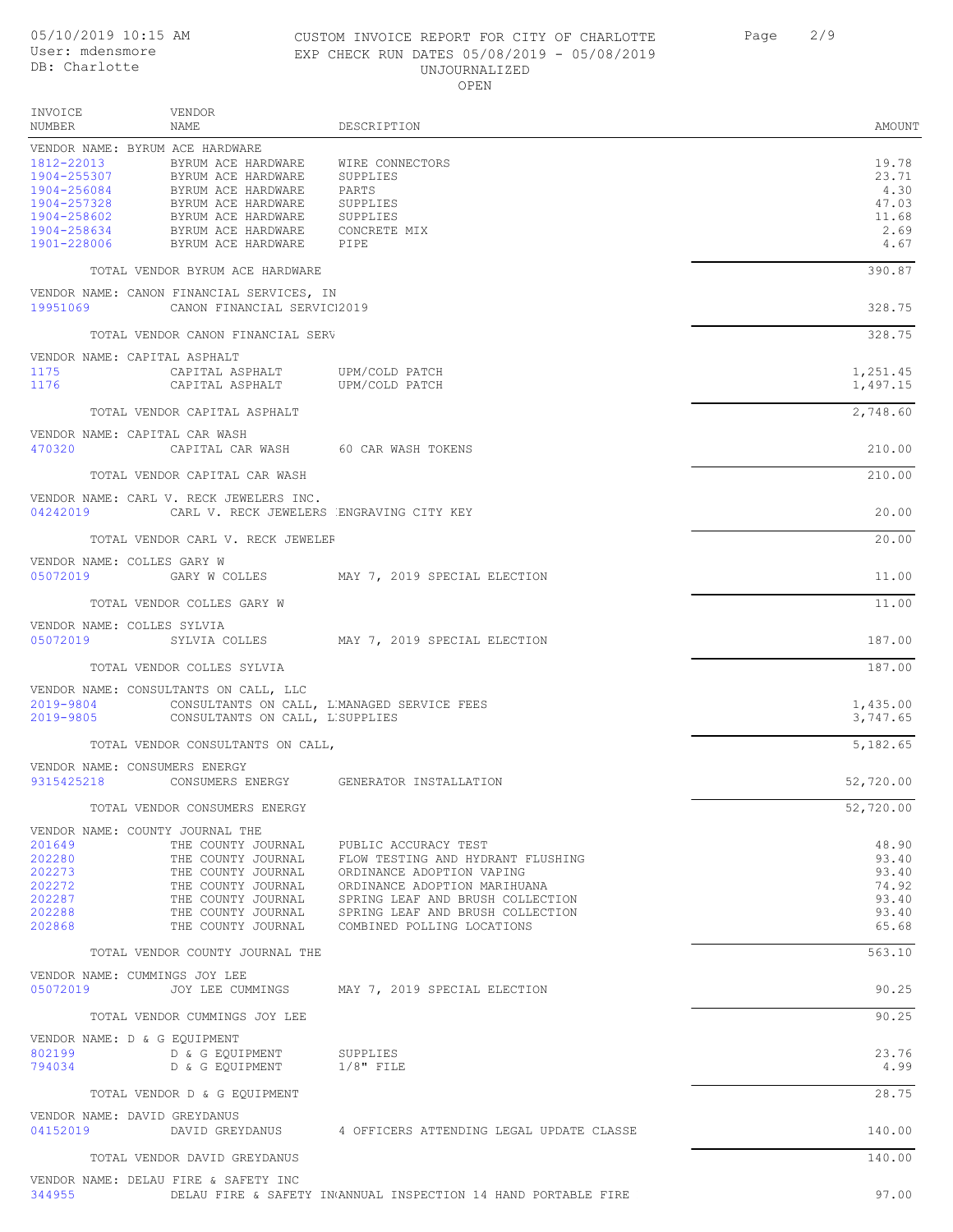#### CUSTOM INVOICE REPORT FOR CITY OF CHARLOTTE Page 2/9 EXP CHECK RUN DATES 05/08/2019 - 05/08/2019 UNJOURNALIZED OPEN

DESCRIPTION AMOUNT VENDOR NAME INVOICE NUMBER VENDOR NAME: BYRUM ACE HARDWARE 1812-22013 BYRUM ACE HARDWARE WIRE CONNECTORS 19.78<br>1904-255307 BYRUM ACE HARDWARE SUPPLIES 23.71 1904-255307 BYRUM ACE HARDWARE SUPPLIES 23.71 1904-256084 BYRUM ACE HARDWARE PARTS 4.30 1904-257328 BYRUM ACE HARDWARE SUPPLIES 47.03 1904-258602 BYRUM ACE HARDWARE SUPPLIES 11.68 1904-258634 BYRUM ACE HARDWARE CONCRETE MIX 2.69 BYRUM ACE HARDWARE PIPE TOTAL VENDOR BYRUM ACE HARDWARE 390.87 VENDOR NAME: CANON FINANCIAL SERVICES, IN 19951069 CANON FINANCIAL SERVICI2019 CANON 328.75 TOTAL VENDOR CANON FINANCIAL SERVICES (2002) TOTAL SERVICES, IN 328.75 VENDOR NAME: CAPITAL ASPHALT CAPITAL ASPHALT UPM/COLD PATCH COLD COLD COLD FOR THE SERVICE OF THE SERVICE OF THE SERVICE OF THE SERVICE OF THE SERVICE OF THE SERVICE OF THE SERVICE OF THE SERVICE OF THE SERVICE OF THE SERVICE OF THE SERVICE OF THE SER CAPITAL ASPHALT TOTAL VENDOR CAPITAL ASPHALT 2.748.60 VENDOR NAME: CAPITAL CAR WASH 470320 CAPITAL CAR WASH 60 CAR WASH TOKENS 210.00 TOTAL VENDOR CAPITAL CAR WASH 210.00 VENDOR NAME: CARL V. RECK JEWELERS INC. 04242019 CARL V. RECK JEWELERS ENGRAVING CITY KEY CHARL CONSTRUCTS AND RECEIVED AS A 20.00 TOTAL VENDOR CARL V. RECK JEWELER **INC.** THE SERVICE OF STRAIN VENDOR CARL V. 20.00 VENDOR NAME: COLLES GARY W 05072019 GARY W COLLES MAY 7, 2019 SPECIAL ELECTION 11.00 TOTAL VENDOR COLLES GARY W 11.00 VENDOR NAME: COLLES SYLVIA<br>05072019 SYLVIA COLLES MAY 7, 2019 SPECIAL ELECTION 187.00 TOTAL VENDOR COLLES SYLVIA 187.00 VENDOR NAME: CONSULTANTS ON CALL, LLC<br>2019-9804 CONSULTANTS ON CALL 2019-9804 CONSULTANTS ON CALL, LUMANAGED SERVICE FEES 1,435.00<br>2019-9805 CONSULTANTS ON CALL, LUMANAGED SERVICE FEES 1,747.65 CONSULTANTS ON CALL, L'SUPPLIES TOTAL VENDOR CONSULTANTS ON CALL, THE SERVICE SERVICE SERVICE SERVICE SERVICE SERVICE SERVICE SERVICE SERVICE S VENDOR NAME: CONSUMERS ENERGY 9315425218 CONSUMERS ENERGY GENERATOR INSTALLATION 52,720.00 TOTAL VENDOR CONSUMERS ENERGY 52,720.00 VENDOR NAME: COUNTY JOURNAL THE<br>201649 THE COUNTY JOURNAL 201649 THE COUNTY JOURNAL PUBLIC ACCURACY TEST THE SAME RAY AS 190 48.90<br>202280 THE COUNTY JOURNAL FLOW TESTING AND HYDRANT FLUSHING THE SAME RAY 193.40 202280 THE COUNTY JOURNAL FLOW TESTING AND HYDRANT FLUSHING 93.40 THE COUNTY JOURNAL ORDINANCE ADOPTION VAPING<br>2022 THE COUNTY JOURNAL ORDINANCE ADOPTION MARIHUANA 202272 THE COUNTY JOURNAL ORDINANCE ADOPTION MARIHUANA 74.92 202287 THE COUNTY JOURNAL SPRING LEAF AND BRUSH COLLECTION 93.40 THE COUNTY JOURNAL SPRING LEAF AND BRUSH COLLECTION<br>THE COUNTY JOURNAL COMBINED POLLING LOCATIONS 202868 THE COUNTY JOURNAL COMBINED POLLING LOCATIONS 65.68 TOTAL VENDOR COUNTY JOURNAL THE **1996** TOTAL VENDOR COUNTY JOURNAL THE **563.10** VENDOR NAME: CUMMINGS JOY LEE 05072019 JOY LEE CUMMINGS MAY 7, 2019 SPECIAL ELECTION 30.25 TOTAL VENDOR CUMMINGS JOY LEE 90.25 VENDOR NAME: D & G EQUIPMENT<br>802199 D & G EQUIP 802199 D & G EQUIPMENT SUPPLIES 23.76 D & G EQUIPMENT TOTAL VENDOR D & G EQUIPMENT 28.75 VENDOR NAME: DAVID GREYDANUS 04152019 DAVID GREYDANUS 4 OFFICERS ATTENDING LEGAL UPDATE CLASSE 140.00 TOTAL VENDOR DAVID GREYDANUS 140.00 VENDOR NAME: DELAU FIRE & SAFETY INC 344955 DELAU FIRE & SAFETY INANNUAL INSPECTION 14 HAND PORTABLE FIRE EXTINGUISHERS 97.00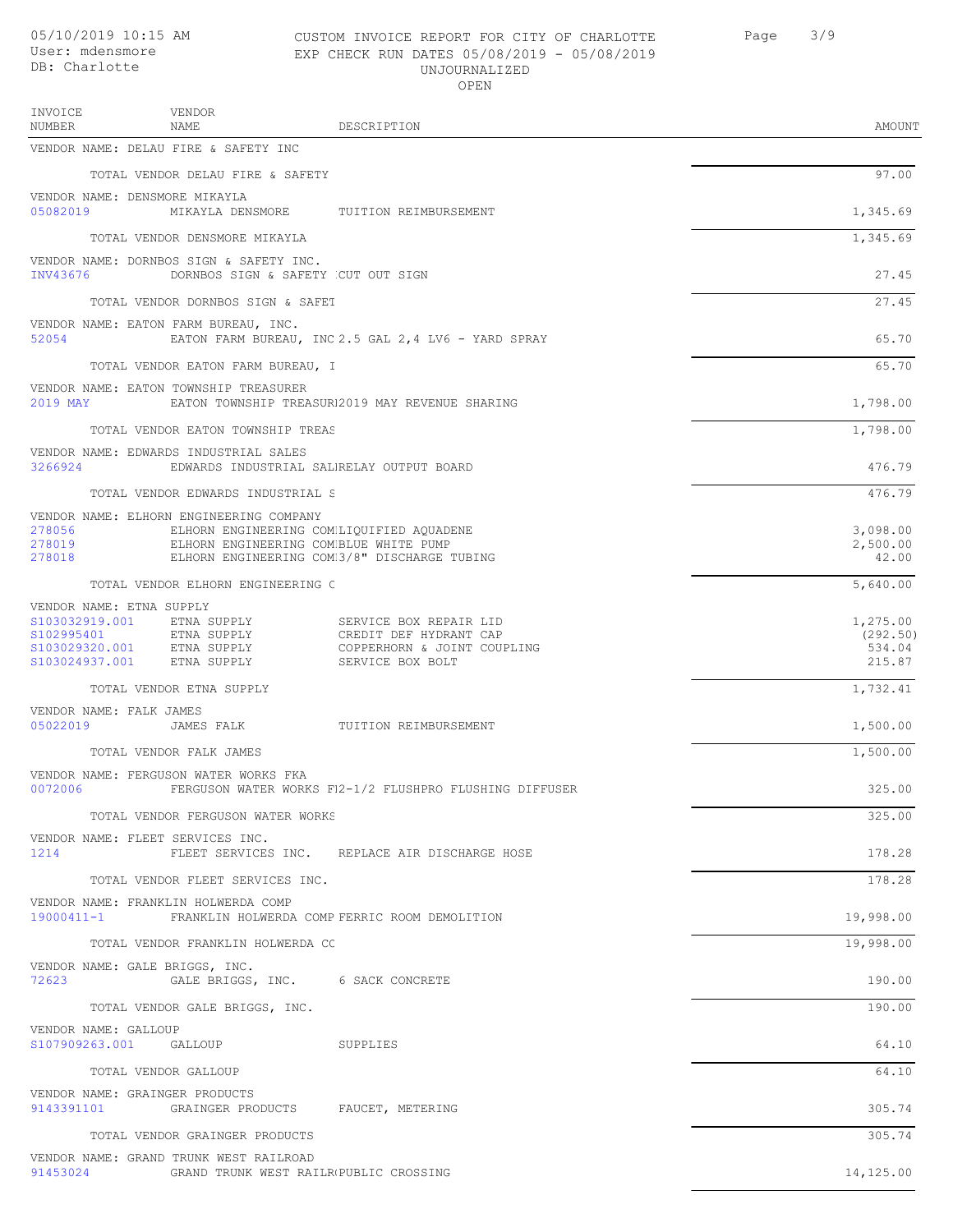VENDOR INVOICE

### CUSTOM INVOICE REPORT FOR CITY OF CHARLOTTE Page 3/9 EXP CHECK RUN DATES 05/08/2019 - 05/08/2019 UNJOURNALIZED OPEN

| NUMBER                                                                                                    | NAME                                                                             | DESCRIPTION                                                                                         | AMOUNT                                   |
|-----------------------------------------------------------------------------------------------------------|----------------------------------------------------------------------------------|-----------------------------------------------------------------------------------------------------|------------------------------------------|
|                                                                                                           | VENDOR NAME: DELAU FIRE & SAFETY INC                                             |                                                                                                     |                                          |
|                                                                                                           | TOTAL VENDOR DELAU FIRE & SAFETY                                                 |                                                                                                     | 97.00                                    |
| VENDOR NAME: DENSMORE MIKAYLA<br>05082019                                                                 | MIKAYLA DENSMORE                                                                 | TUITION REIMBURSEMENT                                                                               | 1,345.69                                 |
|                                                                                                           | TOTAL VENDOR DENSMORE MIKAYLA                                                    |                                                                                                     | 1,345.69                                 |
| INV43676                                                                                                  | VENDOR NAME: DORNBOS SIGN & SAFETY INC.<br>DORNBOS SIGN & SAFETY CUT OUT SIGN    |                                                                                                     | 27.45                                    |
|                                                                                                           | TOTAL VENDOR DORNBOS SIGN & SAFET                                                |                                                                                                     | 27.45                                    |
| 52054                                                                                                     | VENDOR NAME: EATON FARM BUREAU, INC.                                             | EATON FARM BUREAU, INC 2.5 GAL 2,4 LV6 - YARD SPRAY                                                 | 65.70                                    |
|                                                                                                           | TOTAL VENDOR EATON FARM BUREAU, I                                                |                                                                                                     | 65.70                                    |
| 2019 MAY                                                                                                  | VENDOR NAME: EATON TOWNSHIP TREASURER                                            | EATON TOWNSHIP TREASUR12019 MAY REVENUE SHARING                                                     | 1,798.00                                 |
|                                                                                                           | TOTAL VENDOR EATON TOWNSHIP TREAS                                                |                                                                                                     | 1,798.00                                 |
| 3266924                                                                                                   | VENDOR NAME: EDWARDS INDUSTRIAL SALES                                            | EDWARDS INDUSTRIAL SALIRELAY OUTPUT BOARD                                                           | 476.79                                   |
|                                                                                                           | TOTAL VENDOR EDWARDS INDUSTRIAL S                                                |                                                                                                     | 476.79                                   |
| 278056<br>278019<br>278018                                                                                | VENDOR NAME: ELHORN ENGINEERING COMPANY<br>ELHORN ENGINEERING COMBLUE WHITE PUMP | ELHORN ENGINEERING COMMLIQUIFIED AQUADENE<br>ELHORN ENGINEERING COM3/8" DISCHARGE TUBING            | 3,098.00<br>2,500.00<br>42.00            |
|                                                                                                           | TOTAL VENDOR ELHORN ENGINEERING C                                                |                                                                                                     | 5,640.00                                 |
| VENDOR NAME: ETNA SUPPLY<br>S103032919.001<br>S102995401<br>S103029320.001 ETNA SUPPLY<br>\$103024937.001 | ETNA SUPPLY<br>ETNA SUPPLY<br>ETNA SUPPLY                                        | SERVICE BOX REPAIR LID<br>CREDIT DEF HYDRANT CAP<br>COPPERHORN & JOINT COUPLING<br>SERVICE BOX BOLT | 1,275.00<br>(292.50)<br>534.04<br>215.87 |
|                                                                                                           | TOTAL VENDOR ETNA SUPPLY                                                         |                                                                                                     | 1,732.41                                 |
| VENDOR NAME: FALK JAMES<br>05022019                                                                       | JAMES FALK                                                                       | TUITION REIMBURSEMENT                                                                               | 1,500.00                                 |
|                                                                                                           | TOTAL VENDOR FALK JAMES                                                          |                                                                                                     | 1,500.00                                 |
| 0072006                                                                                                   | VENDOR NAME: FERGUSON WATER WORKS FKA                                            | FERGUSON WATER WORKS F12-1/2 FLUSHPRO FLUSHING DIFFUSER                                             | 325.00                                   |
|                                                                                                           | TOTAL VENDOR FERGUSON WATER WORKS                                                |                                                                                                     | 325.00                                   |
| 1214                                                                                                      | VENDOR NAME: FLEET SERVICES INC.                                                 | FLEET SERVICES INC. REPLACE AIR DISCHARGE HOSE                                                      | 178.28                                   |
|                                                                                                           | TOTAL VENDOR FLEET SERVICES INC.                                                 |                                                                                                     | 178.28                                   |
| 19000411-1                                                                                                | VENDOR NAME: FRANKLIN HOLWERDA COMP                                              | FRANKLIN HOLWERDA COMP FERRIC ROOM DEMOLITION                                                       | 19,998.00                                |
|                                                                                                           | TOTAL VENDOR FRANKLIN HOLWERDA CC                                                |                                                                                                     | 19,998.00                                |
| VENDOR NAME: GALE BRIGGS, INC.<br>72623                                                                   | GALE BRIGGS, INC. 6 SACK CONCRETE                                                |                                                                                                     | 190.00                                   |
|                                                                                                           | TOTAL VENDOR GALE BRIGGS, INC.                                                   |                                                                                                     | 190.00                                   |
| VENDOR NAME: GALLOUP<br>S107909263.001 GALLOUP                                                            |                                                                                  | SUPPLIES                                                                                            | 64.10                                    |
|                                                                                                           | TOTAL VENDOR GALLOUP                                                             |                                                                                                     | 64.10                                    |
| VENDOR NAME: GRAINGER PRODUCTS                                                                            | 9143391101 GRAINGER PRODUCTS FAUCET, METERING                                    |                                                                                                     | 305.74                                   |
|                                                                                                           | TOTAL VENDOR GRAINGER PRODUCTS                                                   |                                                                                                     | 305.74                                   |
|                                                                                                           | VENDOR NAME: GRAND TRUNK WEST RAILROAD                                           |                                                                                                     |                                          |

91453024 GRAND TRUNK WEST RAILROPUBLIC CROSSING GRAND PUBLIC PUBLIC PUBLIC PUBLIC PUBLIC PUBLIC PUBLIC PUBLIC PU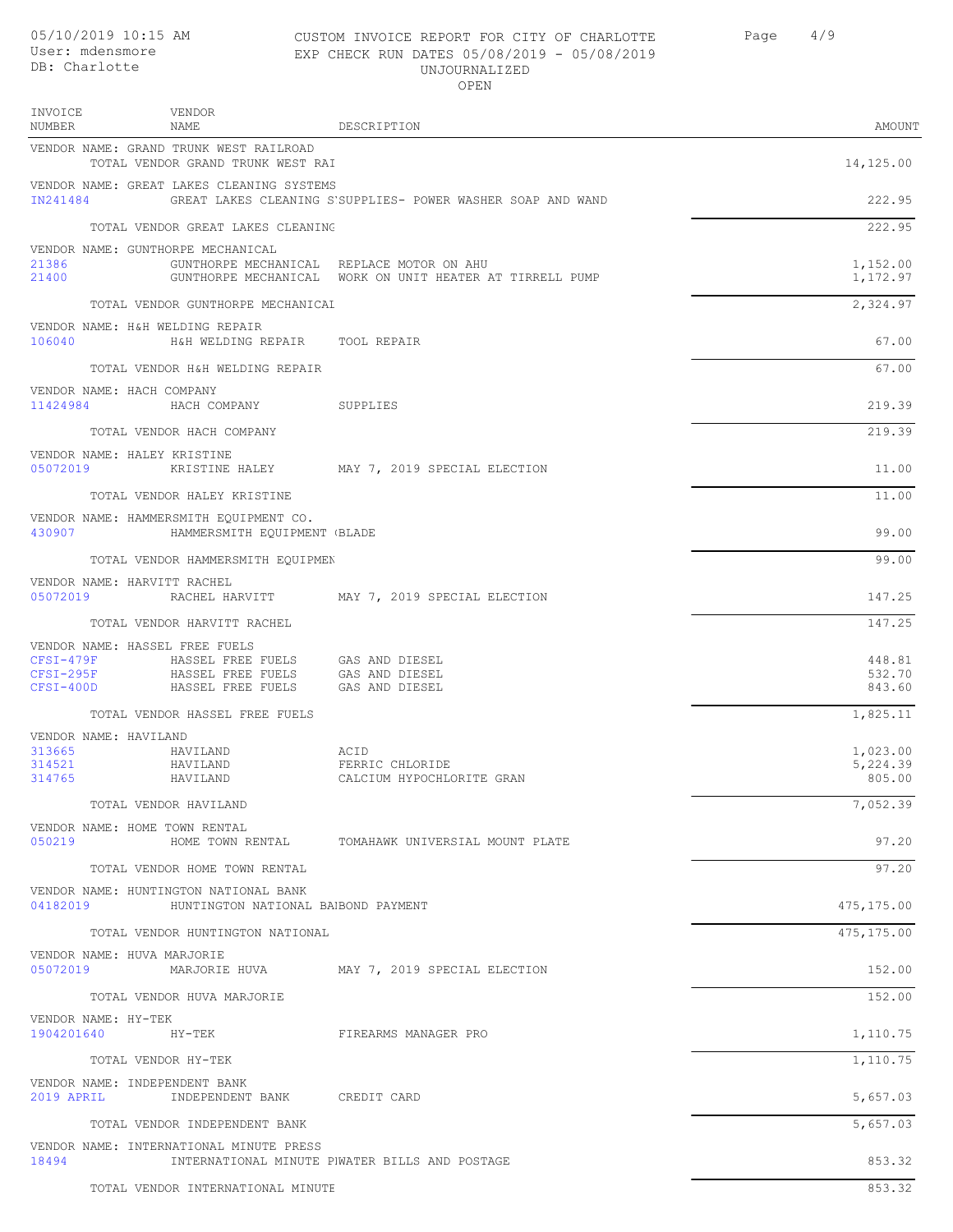INVOICE

VENDOR

### CUSTOM INVOICE REPORT FOR CITY OF CHARLOTTE Page 4/9 EXP CHECK RUN DATES 05/08/2019 - 05/08/2019 UNJOURNALIZED OPEN

| <b>NUMBER</b>                           | NAME                                                                        | DESCRIPTION                                                                                           | AMOUNT               |
|-----------------------------------------|-----------------------------------------------------------------------------|-------------------------------------------------------------------------------------------------------|----------------------|
|                                         | VENDOR NAME: GRAND TRUNK WEST RAILROAD<br>TOTAL VENDOR GRAND TRUNK WEST RAI |                                                                                                       | 14,125.00            |
| IN241484                                | VENDOR NAME: GREAT LAKES CLEANING SYSTEMS                                   | GREAT LAKES CLEANING S'SUPPLIES- POWER WASHER SOAP AND WAND                                           | 222.95               |
|                                         | TOTAL VENDOR GREAT LAKES CLEANING                                           |                                                                                                       | 222.95               |
| 21386                                   | VENDOR NAME: GUNTHORPE MECHANICAL                                           |                                                                                                       |                      |
| 21400                                   |                                                                             | GUNTHORPE MECHANICAL REPLACE MOTOR ON AHU<br>GUNTHORPE MECHANICAL WORK ON UNIT HEATER AT TIRRELL PUMP | 1,152.00<br>1,172.97 |
|                                         | TOTAL VENDOR GUNTHORPE MECHANICAL                                           |                                                                                                       | 2,324.97             |
| 106040                                  | VENDOR NAME: H&H WELDING REPAIR<br>H&H WELDING REPAIR TOOL REPAIR           |                                                                                                       | 67.00                |
|                                         | TOTAL VENDOR H&H WELDING REPAIR                                             |                                                                                                       | 67.00                |
| VENDOR NAME: HACH COMPANY<br>11424984   | HACH COMPANY SUPPLIES                                                       |                                                                                                       | 219.39               |
|                                         | TOTAL VENDOR HACH COMPANY                                                   |                                                                                                       | 219.39               |
| VENDOR NAME: HALEY KRISTINE<br>05072019 |                                                                             | KRISTINE HALEY MAY 7, 2019 SPECIAL ELECTION                                                           | 11.00                |
|                                         | TOTAL VENDOR HALEY KRISTINE                                                 |                                                                                                       | 11.00                |
|                                         | VENDOR NAME: HAMMERSMITH EQUIPMENT CO.                                      |                                                                                                       |                      |
| 430907                                  | HAMMERSMITH EQUIPMENT (BLADE                                                |                                                                                                       | 99.00                |
|                                         | TOTAL VENDOR HAMMERSMITH EQUIPMEN                                           |                                                                                                       | 99.00                |
| VENDOR NAME: HARVITT RACHEL<br>05072019 |                                                                             | RACHEL HARVITT MAY 7, 2019 SPECIAL ELECTION                                                           | 147.25               |
|                                         | TOTAL VENDOR HARVITT RACHEL                                                 |                                                                                                       | 147.25               |
|                                         | VENDOR NAME: HASSEL FREE FUELS                                              |                                                                                                       | 448.81               |
| $CFSI-479F$<br>$CFSI-295F$              | HASSEL FREE FUELS<br>HASSEL FREE FUELS                                      | GAS AND DIESEL<br>GAS AND DIESEL                                                                      | 532.70               |
| CFSI-400D                               | HASSEL FREE FUELS                                                           | GAS AND DIESEL                                                                                        | 843.60               |
|                                         | TOTAL VENDOR HASSEL FREE FUELS                                              |                                                                                                       | 1,825.11             |
| VENDOR NAME: HAVILAND<br>313665         | HAVILAND                                                                    | ACID                                                                                                  | 1,023.00             |
| 314521<br>314765                        | HAVILAND<br>HAVILAND                                                        | FERRIC CHLORIDE<br>CALCIUM HYPOCHLORITE GRAN                                                          | 5,224.39<br>805.00   |
|                                         | TOTAL VENDOR HAVILAND                                                       |                                                                                                       | 7,052.39             |
|                                         | VENDOR NAME: HOME TOWN RENTAL                                               |                                                                                                       |                      |
| 050219                                  |                                                                             | HOME TOWN RENTAL TOMAHAWK UNIVERSIAL MOUNT PLATE                                                      | 97.20                |
|                                         | TOTAL VENDOR HOME TOWN RENTAL                                               |                                                                                                       | 97.20                |
| 04182019                                | VENDOR NAME: HUNTINGTON NATIONAL BANK<br>HUNTINGTON NATIONAL BABOND PAYMENT |                                                                                                       | 475,175.00           |
|                                         | TOTAL VENDOR HUNTINGTON NATIONAL                                            |                                                                                                       | 475,175.00           |
| VENDOR NAME: HUVA MARJORIE<br>05072019  |                                                                             | MARJORIE HUVA MAY 7, 2019 SPECIAL ELECTION                                                            | 152.00               |
|                                         | TOTAL VENDOR HUVA MARJORIE                                                  |                                                                                                       | 152.00               |
| VENDOR NAME: HY-TEK                     |                                                                             |                                                                                                       |                      |
| 1904201640 HY-TEK                       |                                                                             | FIREARMS MANAGER PRO                                                                                  | 1,110.75             |
|                                         | TOTAL VENDOR HY-TEK                                                         |                                                                                                       | 1,110.75             |
| 2019 APRIL                              | VENDOR NAME: INDEPENDENT BANK<br>INDEPENDENT BANK CREDIT CARD               |                                                                                                       | 5,657.03             |
|                                         | TOTAL VENDOR INDEPENDENT BANK                                               |                                                                                                       | 5,657.03             |
| 18494                                   | VENDOR NAME: INTERNATIONAL MINUTE PRESS                                     | INTERNATIONAL MINUTE PIWATER BILLS AND POSTAGE                                                        | 853.32               |
|                                         | TOTAL VENDOR INTERNATIONAL MINUTE                                           |                                                                                                       | 853.32               |
|                                         |                                                                             |                                                                                                       |                      |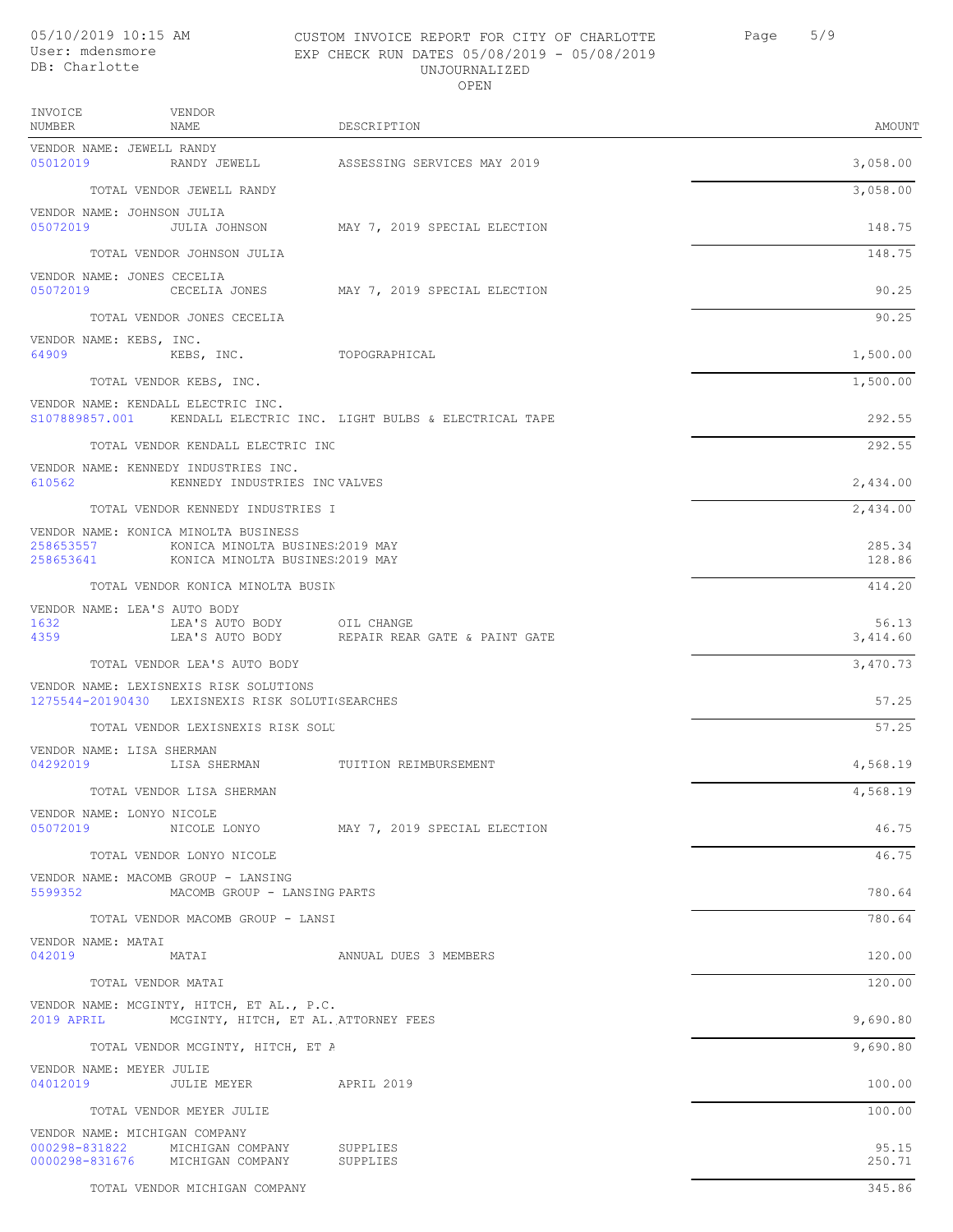# UNJOURNALIZED

| 05/10/2019 10:15 AM<br>User: mdensmore<br>DB: Charlotte                                    | CUSTOM INVOICE REPORT FOR CITY OF CHARLOTTE<br>EXP CHECK RUN DATES 05/08/2019 - 05/08/2019<br>UNJOURNALIZED<br>OPEN | 5/9<br>Page       |
|--------------------------------------------------------------------------------------------|---------------------------------------------------------------------------------------------------------------------|-------------------|
| INVOICE<br>VENDOR<br>NUMBER<br>NAMF.                                                       | DESCRIPTION                                                                                                         | AMOUNT            |
| VENDOR NAME: JEWELL RANDY<br>05012019<br>RANDY JEWELL                                      | ASSESSING SERVICES MAY 2019                                                                                         | 3,058.00          |
| TOTAL VENDOR JEWELL RANDY                                                                  |                                                                                                                     | 3,058.00          |
| VENDOR NAME: JOHNSON JULIA<br>05072019<br>JULIA JOHNSON                                    | MAY 7, 2019 SPECIAL ELECTION                                                                                        | 148.75            |
| TOTAL VENDOR JOHNSON JULIA                                                                 |                                                                                                                     | 148.75            |
| VENDOR NAME: JONES CECELIA<br>05072019                                                     | CECELIA JONES MAY 7, 2019 SPECIAL ELECTION                                                                          | 90.25             |
| TOTAL VENDOR JONES CECELIA                                                                 |                                                                                                                     | 90.25             |
| VENDOR NAME: KEBS, INC.<br>64909                                                           | KEBS, INC. TOPOGRAPHICAL                                                                                            | 1,500.00          |
| TOTAL VENDOR KEBS, INC.                                                                    |                                                                                                                     | 1,500.00          |
| VENDOR NAME: KENDALL ELECTRIC INC.                                                         | S107889857.001 KENDALL ELECTRIC INC. LIGHT BULBS & ELECTRICAL TAPE                                                  | 292.55            |
| TOTAL VENDOR KENDALL ELECTRIC INC                                                          |                                                                                                                     | 292.55            |
| VENDOR NAME: KENNEDY INDUSTRIES INC.<br>610562                                             | KENNEDY INDUSTRIES INC VALVES                                                                                       | 2,434.00          |
| TOTAL VENDOR KENNEDY INDUSTRIES I                                                          |                                                                                                                     | 2,434.00          |
| VENDOR NAME: KONICA MINOLTA BUSINESS<br>258653557                                          | KONICA MINOLTA BUSINES 2019 MAY                                                                                     | 285.34<br>128.86  |
| TOTAL VENDOR KONICA MINOLTA BUSIN                                                          |                                                                                                                     | 414.20            |
| VENDOR NAME: LEA'S AUTO BODY<br>1632<br>LEA'S AUTO BODY<br>LEA'S AUTO BODY<br>4359         | OIL CHANGE<br>REPAIR REAR GATE & PAINT GATE                                                                         | 56.13<br>3,414.60 |
| TOTAL VENDOR LEA'S AUTO BODY                                                               |                                                                                                                     | 3,470.73          |
| VENDOR NAME: LEXISNEXIS RISK SOLUTIONS<br>1275544-20190430 LEXISNEXIS RISK SOLUTI(SEARCHES |                                                                                                                     | 57.25             |
| TOTAL VENDOR LEXISNEXIS RISK SOLU                                                          |                                                                                                                     | 57.25             |
| VENDOR NAME: LISA SHERMAN<br>04292019                                                      | LISA SHERMAN             TUITION REIMBURSEMENT                                                                      | 4,568.19          |
| TOTAL VENDOR LISA SHERMAN                                                                  |                                                                                                                     | 4,568.19          |
| VENDOR NAME: LONYO NICOLE<br>05072019                                                      | NICOLE LONYO MAY 7, 2019 SPECIAL ELECTION                                                                           | 46.75             |
| TOTAL VENDOR LONYO NICOLE                                                                  |                                                                                                                     | 46.75             |
| VENDOR NAME: MACOMB GROUP - LANSING<br>5599352                                             | MACOMB GROUP - LANSING PARTS                                                                                        | 780.64            |
| TOTAL VENDOR MACOMB GROUP - LANSI                                                          |                                                                                                                     | 780.64            |
| VENDOR NAME: MATAI<br>042019<br>MATAI                                                      | ANNUAL DUES 3 MEMBERS                                                                                               | 120.00            |
| TOTAL VENDOR MATAI                                                                         |                                                                                                                     | 120.00            |
| VENDOR NAME: MCGINTY, HITCH, ET AL., P.C.<br>2019 APRIL                                    | MCGINTY, HITCH, ET AL. ATTORNEY FEES                                                                                | 9,690.80          |
| TOTAL VENDOR MCGINTY, HITCH, ET A                                                          |                                                                                                                     | 9,690.80          |
| VENDOR NAME: MEYER JULIE                                                                   |                                                                                                                     |                   |

04012019 JULIE MEYER APRIL 2019 100.00 TOTAL VENDOR MEYER JULIE 100.00

VENDOR NAME: MICHIGAN COMPANY 000298-831822 MICHIGAN COMPANY SUPPLIES 95.15 0000298-831676 MICHIGAN COMPANY SUPPLIES 250.71

TOTAL VENDOR MICHIGAN COMPANY 345.86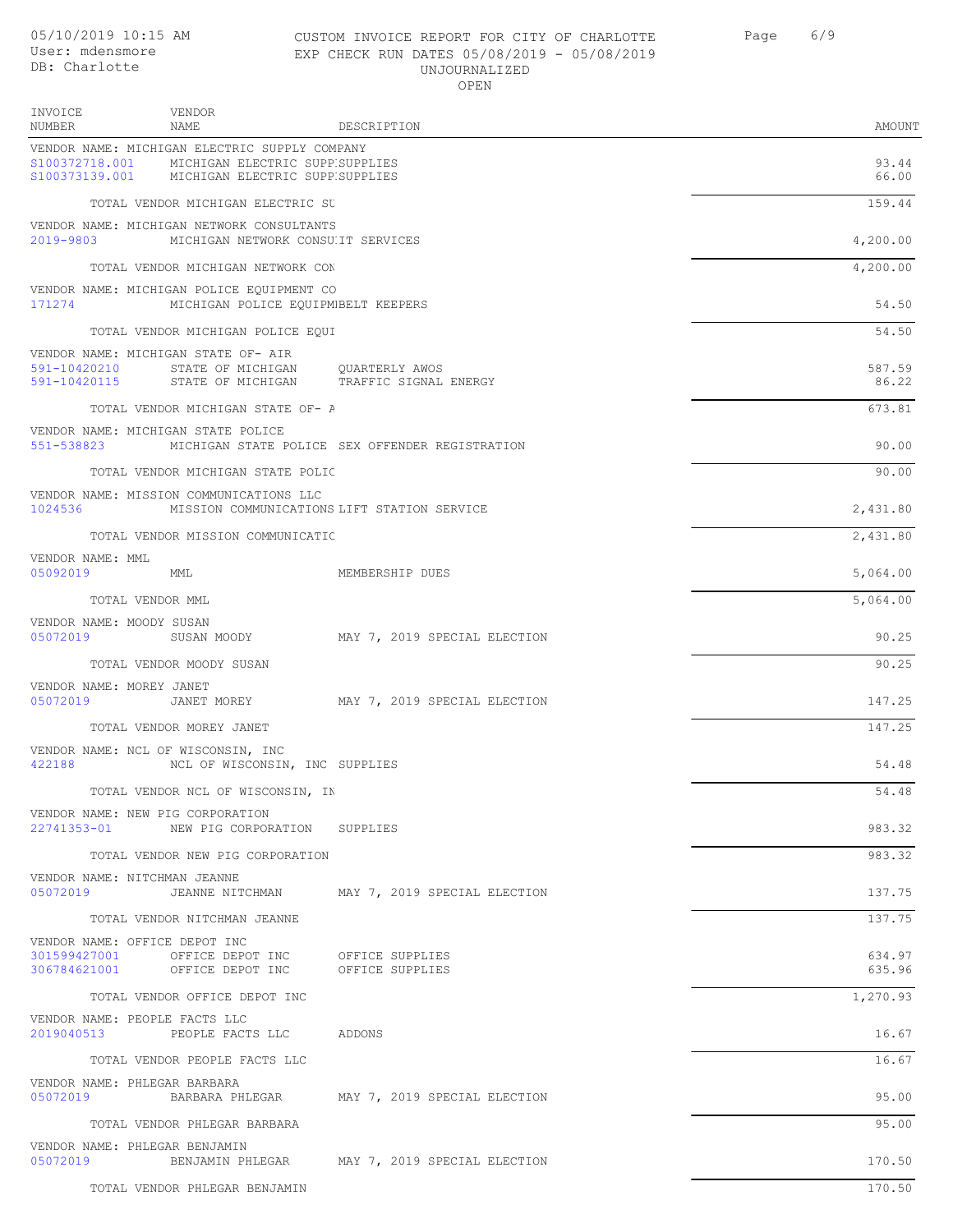INVOICE NUMBER

VENDOR NAME

| CUSTOM INVOICE REPORT FOR CITY OF CHARLOTTE | 6/9<br>Page |
|---------------------------------------------|-------------|
| EXP CHECK RUN DATES 05/08/2019 - 05/08/2019 |             |
| UNJOURNALIZED                               |             |
| OPEN                                        |             |

DESCRIPTION AMOUNT

| VENDOR NAME: MICHIGAN ELECTRIC SUPPLY COMPANY<br>S100372718.001<br>MICHIGAN ELECTRIC SUPPESUPPLIES<br>S100373139.001 MICHIGAN ELECTRIC SUPPESUPPLIES |                                                 | 93.44<br>66.00   |
|------------------------------------------------------------------------------------------------------------------------------------------------------|-------------------------------------------------|------------------|
| TOTAL VENDOR MICHIGAN ELECTRIC SU                                                                                                                    |                                                 | 159.44           |
| VENDOR NAME: MICHIGAN NETWORK CONSULTANTS<br>2019-9803<br>MICHIGAN NETWORK CONSUIT SERVICES                                                          |                                                 | 4,200.00         |
| TOTAL VENDOR MICHIGAN NETWORK CON                                                                                                                    |                                                 | 4,200.00         |
| VENDOR NAME: MICHIGAN POLICE EQUIPMENT CO<br>171274<br>MICHIGAN POLICE EOUIPMBELT KEEPERS                                                            |                                                 | 54.50            |
| TOTAL VENDOR MICHIGAN POLICE EQUI                                                                                                                    |                                                 | 54.50            |
| VENDOR NAME: MICHIGAN STATE OF- AIR<br>591-10420210<br>STATE OF MICHIGAN QUARTERLY AWOS                                                              |                                                 | 587.59           |
| 591-10420115 STATE OF MICHIGAN TRAFFIC SIGNAL ENERGY                                                                                                 |                                                 | 86.22            |
| TOTAL VENDOR MICHIGAN STATE OF- A                                                                                                                    |                                                 | 673.81           |
| VENDOR NAME: MICHIGAN STATE POLICE<br>551-538823                                                                                                     | MICHIGAN STATE POLICE SEX OFFENDER REGISTRATION | 90.00            |
| TOTAL VENDOR MICHIGAN STATE POLIC                                                                                                                    |                                                 | 90.00            |
| VENDOR NAME: MISSION COMMUNICATIONS LLC<br>1024536 MISSION COMMUNICATIONS LIFT STATION SERVICE                                                       |                                                 | 2,431.80         |
| TOTAL VENDOR MISSION COMMUNICATIO                                                                                                                    |                                                 | 2,431.80         |
| VENDOR NAME: MML<br>05092019 MML                                                                                                                     | MEMBERSHIP DUES                                 | 5,064.00         |
| TOTAL VENDOR MML                                                                                                                                     |                                                 | 5,064.00         |
| VENDOR NAME: MOODY SUSAN<br>05072019 SUSAN MOODY MAY 7, 2019 SPECIAL ELECTION                                                                        |                                                 | 90.25            |
| TOTAL VENDOR MOODY SUSAN                                                                                                                             |                                                 | 90.25            |
| VENDOR NAME: MOREY JANET<br>05072019<br>JANET MOREY                                                                                                  | MAY 7, 2019 SPECIAL ELECTION                    | 147.25           |
| TOTAL VENDOR MOREY JANET                                                                                                                             |                                                 | 147.25           |
| VENDOR NAME: NCL OF WISCONSIN, INC<br>422188 NCL OF WISCONSIN, INC SUPPLIES                                                                          |                                                 | 54.48            |
| TOTAL VENDOR NCL OF WISCONSIN, IN                                                                                                                    |                                                 | 54.48            |
| VENDOR NAME: NEW PIG CORPORATION<br>22741353-01<br>NEW PIG CORPORATION SUPPLIES                                                                      |                                                 | 983.32           |
| TOTAL VENDOR NEW PIG CORPORATION                                                                                                                     |                                                 | 983.32           |
| VENDOR NAME: NITCHMAN JEANNE<br>05072019                                                                                                             | JEANNE NITCHMAN MAY 7, 2019 SPECIAL ELECTION    | 137.75           |
| TOTAL VENDOR NITCHMAN JEANNE                                                                                                                         |                                                 | 137.75           |
| VENDOR NAME: OFFICE DEPOT INC<br>301599427001<br>OFFICE DEPOT INC<br>306784621001 OFFICE DEPOT INC OFFICE SUPPLIES                                   | OFFICE SUPPLIES                                 | 634.97<br>635.96 |
| TOTAL VENDOR OFFICE DEPOT INC                                                                                                                        |                                                 | 1,270.93         |
| VENDOR NAME: PEOPLE FACTS LLC                                                                                                                        |                                                 |                  |
| 2019040513<br>PEOPLE FACTS LLC ADDONS                                                                                                                |                                                 | 16.67            |
| TOTAL VENDOR PEOPLE FACTS LLC                                                                                                                        |                                                 | 16.67            |
| VENDOR NAME: PHLEGAR BARBARA<br>05072019                                                                                                             | BARBARA PHLEGAR MAY 7, 2019 SPECIAL ELECTION    | 95.00            |
| TOTAL VENDOR PHLEGAR BARBARA                                                                                                                         |                                                 | 95.00            |
| VENDOR NAME: PHLEGAR BENJAMIN<br>05072019<br>BENJAMIN PHLEGAR                                                                                        | MAY 7, 2019 SPECIAL ELECTION                    | 170.50           |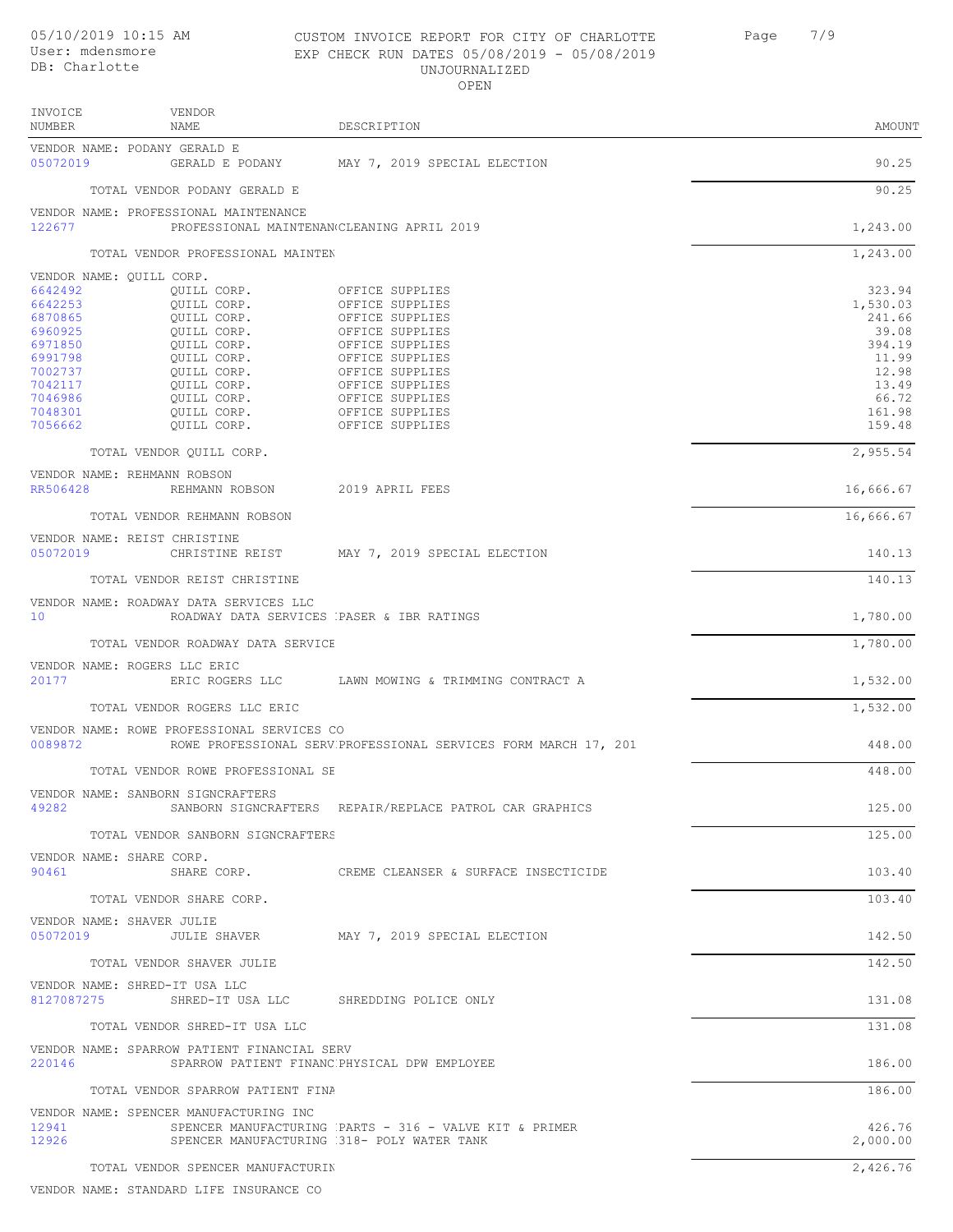VENDOR INVOICE

### CUSTOM INVOICE REPORT FOR CITY OF CHARLOTTE Page 7/9 EXP CHECK RUN DATES 05/08/2019 - 05/08/2019 UNJOURNALIZED OPEN

| AMOUNT |
|--------|
|        |

| NUMBER                   | NAME                                                                                        | DESCRIPTION                                                                                          | AMOUNT             |
|--------------------------|---------------------------------------------------------------------------------------------|------------------------------------------------------------------------------------------------------|--------------------|
| 05072019                 | VENDOR NAME: PODANY GERALD E                                                                | GERALD E PODANY MAY 7, 2019 SPECIAL ELECTION                                                         | 90.25              |
|                          | TOTAL VENDOR PODANY GERALD E                                                                |                                                                                                      | 90.25              |
| 122677                   | VENDOR NAME: PROFESSIONAL MAINTENANCE<br>PROFESSIONAL MAINTENAN CLEANING APRIL 2019         |                                                                                                      | 1,243.00           |
|                          | TOTAL VENDOR PROFESSIONAL MAINTEN                                                           |                                                                                                      | 1,243.00           |
| VENDOR NAME: QUILL CORP. |                                                                                             |                                                                                                      |                    |
| 6642492                  | OUILL CORP.                                                                                 | OFFICE SUPPLIES                                                                                      | 323.94             |
| 6642253<br>6870865       | QUILL CORP.<br>QUILL CORP.                                                                  | OFFICE SUPPLIES<br>OFFICE SUPPLIES                                                                   | 1,530.03<br>241.66 |
| 6960925                  | QUILL CORP.                                                                                 | OFFICE SUPPLIES                                                                                      | 39.08              |
| 6971850                  | QUILL CORP.                                                                                 | OFFICE SUPPLIES                                                                                      | 394.19             |
| 6991798                  | QUILL CORP.                                                                                 | OFFICE SUPPLIES                                                                                      | 11.99              |
| 7002737<br>7042117       | QUILL CORP.<br>QUILL CORP.                                                                  | OFFICE SUPPLIES<br>OFFICE SUPPLIES                                                                   | 12.98<br>13.49     |
| 7046986                  | QUILL CORP.                                                                                 | OFFICE SUPPLIES                                                                                      | 66.72              |
| 7048301                  | QUILL CORP.                                                                                 | OFFICE SUPPLIES                                                                                      | 161.98             |
| 7056662                  | QUILL CORP.                                                                                 | OFFICE SUPPLIES                                                                                      | 159.48             |
|                          | TOTAL VENDOR OUILL CORP.                                                                    |                                                                                                      | 2,955.54           |
| RR506428                 | VENDOR NAME: REHMANN ROBSON<br>REHMANN ROBSON 2019 APRIL FEES                               |                                                                                                      |                    |
|                          |                                                                                             |                                                                                                      | 16,666.67          |
|                          | TOTAL VENDOR REHMANN ROBSON                                                                 |                                                                                                      | 16,666.67          |
| 05072019                 | VENDOR NAME: REIST CHRISTINE                                                                | CHRISTINE REIST MAY 7, 2019 SPECIAL ELECTION                                                         | 140.13             |
|                          | TOTAL VENDOR REIST CHRISTINE                                                                |                                                                                                      | 140.13             |
|                          | VENDOR NAME: ROADWAY DATA SERVICES LLC                                                      |                                                                                                      |                    |
| 10                       | ROADWAY DATA SERVICES PASER & IBR RATINGS                                                   |                                                                                                      | 1,780.00           |
|                          | TOTAL VENDOR ROADWAY DATA SERVICE                                                           |                                                                                                      | 1,780.00           |
| 20177                    | VENDOR NAME: ROGERS LLC ERIC                                                                | ERIC ROGERS LLC . LAWN MOWING & TRIMMING CONTRACT A                                                  | 1,532.00           |
|                          | TOTAL VENDOR ROGERS LLC ERIC                                                                |                                                                                                      | 1,532.00           |
| 0089872                  | VENDOR NAME: ROWE PROFESSIONAL SERVICES CO                                                  | ROWE PROFESSIONAL SERV PROFESSIONAL SERVICES FORM MARCH 17, 201                                      | 448.00             |
|                          | TOTAL VENDOR ROWE PROFESSIONAL SE                                                           |                                                                                                      | 448.00             |
|                          | VENDOR NAME: SANBORN SIGNCRAFTERS                                                           |                                                                                                      |                    |
| 49282                    |                                                                                             | SANBORN SIGNCRAFTERS REPAIR/REPLACE PATROL CAR GRAPHICS                                              | 125.00             |
|                          | TOTAL VENDOR SANBORN SIGNCRAFTERS                                                           |                                                                                                      | 125.00             |
| 90461                    | VENDOR NAME: SHARE CORP.                                                                    | SHARE CORP. THE CREME CLEANSER & SURFACE INSECTICIDE                                                 | 103.40             |
|                          | TOTAL VENDOR SHARE CORP.                                                                    |                                                                                                      | 103.40             |
|                          | VENDOR NAME: SHAVER JULIE                                                                   |                                                                                                      |                    |
| 05072019                 |                                                                                             | JULIE SHAVER MAY 7, 2019 SPECIAL ELECTION                                                            | 142.50             |
|                          | TOTAL VENDOR SHAVER JULIE                                                                   |                                                                                                      | 142.50             |
|                          | VENDOR NAME: SHRED-IT USA LLC<br>8127087275 SHRED-IT USA LLC SHREDDING POLICE ONLY          |                                                                                                      | 131.08             |
|                          |                                                                                             |                                                                                                      |                    |
|                          | TOTAL VENDOR SHRED-IT USA LLC                                                               |                                                                                                      | 131.08             |
| 220146                   | VENDOR NAME: SPARROW PATIENT FINANCIAL SERV<br>SPARROW PATIENT FINANC PHYSICAL DPW EMPLOYEE |                                                                                                      | 186.00             |
|                          | TOTAL VENDOR SPARROW PATIENT FINA                                                           |                                                                                                      | 186.00             |
|                          | VENDOR NAME: SPENCER MANUFACTURING INC                                                      |                                                                                                      |                    |
| 12941<br>12926           |                                                                                             | SPENCER MANUFACTURING PARTS - 316 - VALVE KIT & PRIMER<br>SPENCER MANUFACTURING 318- POLY WATER TANK | 426.76<br>2,000.00 |
|                          | TOTAL VENDOR SPENCER MANUFACTURIN                                                           |                                                                                                      | 2,426.76           |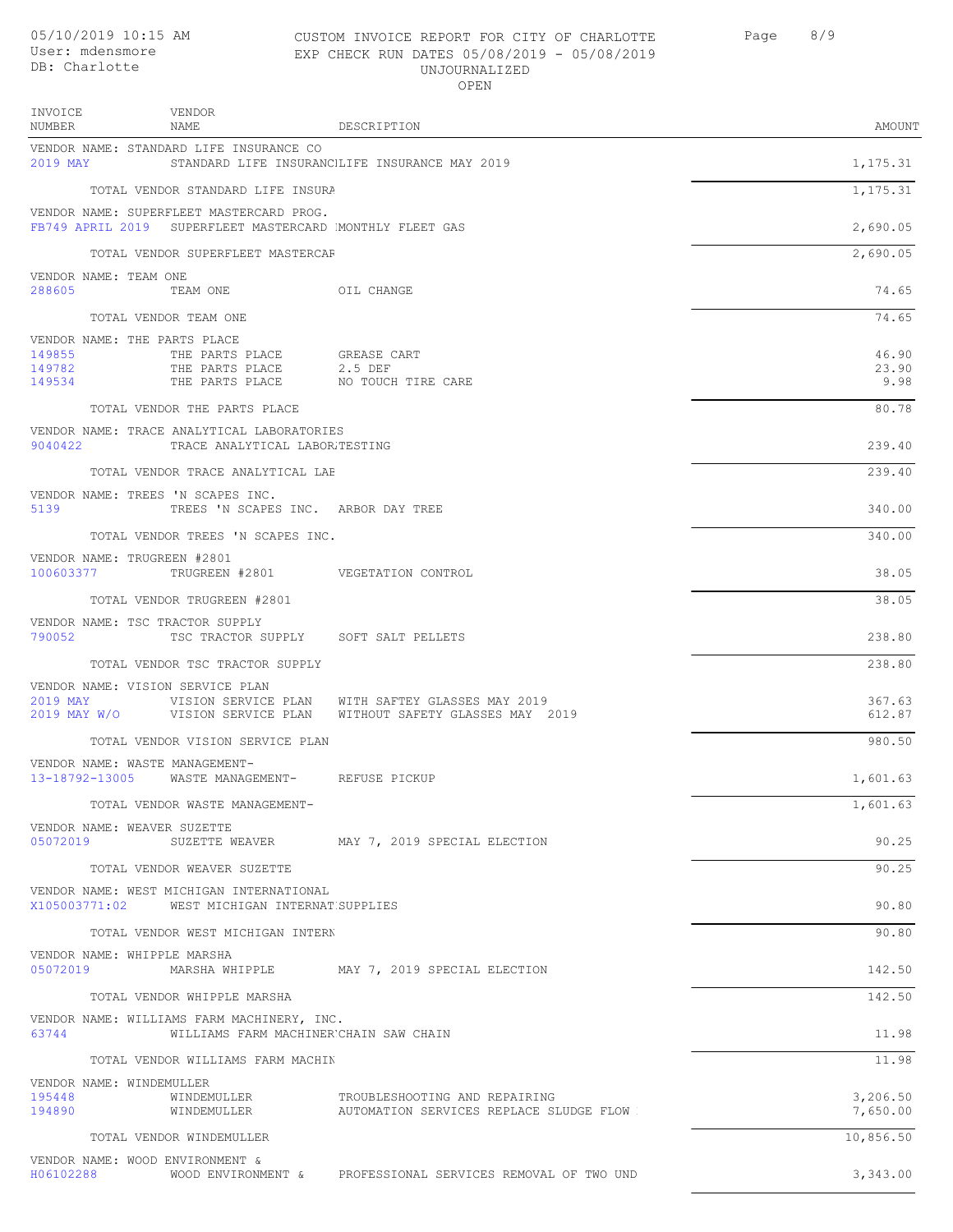### CUSTOM INVOICE REPORT FOR CITY OF CHARLOTTE Page 8/9 EXP CHECK RUN DATES 05/08/2019 - 05/08/2019 UNJOURNALIZED OPEN

| INVOICE<br>NUMBER                                                                             | VENDOR<br>NAME                                                                                       | DESCRIPTION                                                                                                                                | AMOUNT                 |  |
|-----------------------------------------------------------------------------------------------|------------------------------------------------------------------------------------------------------|--------------------------------------------------------------------------------------------------------------------------------------------|------------------------|--|
| 2019 MAY                                                                                      | VENDOR NAME: STANDARD LIFE INSURANCE CO                                                              | STANDARD LIFE INSURANCILIFE INSURANCE MAY 2019                                                                                             | 1,175.31               |  |
|                                                                                               | TOTAL VENDOR STANDARD LIFE INSURA                                                                    |                                                                                                                                            | 1,175.31               |  |
|                                                                                               | VENDOR NAME: SUPERFLEET MASTERCARD PROG.<br>FB749 APRIL 2019 SUPERFLEET MASTERCARD MONTHLY FLEET GAS |                                                                                                                                            | 2,690.05               |  |
|                                                                                               | TOTAL VENDOR SUPERFLEET MASTERCAF                                                                    |                                                                                                                                            | 2,690.05               |  |
| VENDOR NAME: TEAM ONE                                                                         |                                                                                                      |                                                                                                                                            |                        |  |
| 288605                                                                                        | TEAM ONE OIL CHANGE                                                                                  |                                                                                                                                            | 74.65                  |  |
| VENDOR NAME: THE PARTS PLACE                                                                  | TOTAL VENDOR TEAM ONE                                                                                |                                                                                                                                            | 74.65                  |  |
| 149855<br>149782<br>149534                                                                    | THE PARTS PLACE<br>THE PARTS PLACE<br>THE PARTS PLACE                                                | GREASE CART<br>2.5 DEF<br>NO TOUCH TIRE CARE                                                                                               | 46.90<br>23.90<br>9.98 |  |
|                                                                                               | TOTAL VENDOR THE PARTS PLACE                                                                         |                                                                                                                                            | 80.78                  |  |
| 9040422                                                                                       | VENDOR NAME: TRACE ANALYTICAL LABORATORIES<br>TRACE ANALYTICAL LABOR.TESTING                         |                                                                                                                                            | 239.40                 |  |
|                                                                                               | TOTAL VENDOR TRACE ANALYTICAL LAE                                                                    |                                                                                                                                            | 239.40                 |  |
| 5139                                                                                          | VENDOR NAME: TREES 'N SCAPES INC.<br>TREES 'N SCAPES INC. ARBOR DAY TREE                             |                                                                                                                                            | 340.00                 |  |
|                                                                                               | TOTAL VENDOR TREES 'N SCAPES INC.                                                                    |                                                                                                                                            | 340.00                 |  |
| VENDOR NAME: TRUGREEN #2801                                                                   | 100603377 TRUGREEN #2801 VEGETATION CONTROL                                                          |                                                                                                                                            | 38.05                  |  |
|                                                                                               | TOTAL VENDOR TRUGREEN #2801                                                                          |                                                                                                                                            | 38.05                  |  |
| VENDOR NAME: TSC TRACTOR SUPPLY<br>790052                                                     | TSC TRACTOR SUPPLY SOFT SALT PELLETS                                                                 |                                                                                                                                            | 238.80                 |  |
|                                                                                               | TOTAL VENDOR TSC TRACTOR SUPPLY                                                                      |                                                                                                                                            | 238.80                 |  |
|                                                                                               | VENDOR NAME: VISION SERVICE PLAN                                                                     | 2019 MAY <b>WISTON SERVICE PLAN</b> WITH SAFTEY GLASSES MAY 2019<br>2019 MAY W/O   VISION SERVICE PLAN   WITHOUT SAFETY GLASSES MAY   2019 | 367.63<br>612.87       |  |
|                                                                                               | TOTAL VENDOR VISION SERVICE PLAN                                                                     |                                                                                                                                            | 980.50                 |  |
| VENDOR NAME: WASTE MANAGEMENT-                                                                | 13-18792-13005 WASTE MANAGEMENT- REFUSE PICKUP                                                       |                                                                                                                                            | 1,601.63               |  |
|                                                                                               | TOTAL VENDOR WASTE MANAGEMENT-                                                                       |                                                                                                                                            | 1,601.63               |  |
| VENDOR NAME: WEAVER SUZETTE<br>05072019                                                       |                                                                                                      | SUZETTE WEAVER MAY 7, 2019 SPECIAL ELECTION                                                                                                | 90.25                  |  |
|                                                                                               | TOTAL VENDOR WEAVER SUZETTE                                                                          |                                                                                                                                            | 90.25                  |  |
|                                                                                               | VENDOR NAME: WEST MICHIGAN INTERNATIONAL<br>X105003771:02 WEST MICHIGAN INTERNAT SUPPLIES            |                                                                                                                                            | 90.80                  |  |
|                                                                                               | TOTAL VENDOR WEST MICHIGAN INTERN                                                                    |                                                                                                                                            | 90.80                  |  |
| VENDOR NAME: WHIPPLE MARSHA                                                                   |                                                                                                      | 05072019 MARSHA WHIPPLE MAY 7, 2019 SPECIAL ELECTION                                                                                       | 142.50                 |  |
|                                                                                               | TOTAL VENDOR WHIPPLE MARSHA                                                                          |                                                                                                                                            | 142.50                 |  |
| VENDOR NAME: WILLIAMS FARM MACHINERY, INC.<br>63744<br>WILLIAMS FARM MACHINER CHAIN SAW CHAIN |                                                                                                      |                                                                                                                                            |                        |  |
|                                                                                               | TOTAL VENDOR WILLIAMS FARM MACHIN                                                                    |                                                                                                                                            | 11.98                  |  |
| VENDOR NAME: WINDEMULLER<br>195448<br>194890                                                  | WINDEMULLER<br>WINDEMULLER                                                                           | TROUBLESHOOTING AND REPAIRING<br>AUTOMATION SERVICES REPLACE SLUDGE FLOW !                                                                 | 3,206.50<br>7,650.00   |  |
|                                                                                               | TOTAL VENDOR WINDEMULLER                                                                             |                                                                                                                                            | 10,856.50              |  |
| VENDOR NAME: WOOD ENVIRONMENT &                                                               |                                                                                                      |                                                                                                                                            |                        |  |

H06102288 WOOD ENVIRONMENT & PROFESSIONAL SERVICES REMOVAL OF TWO UNDERGROUND STORAGE TANKS 3,343.00